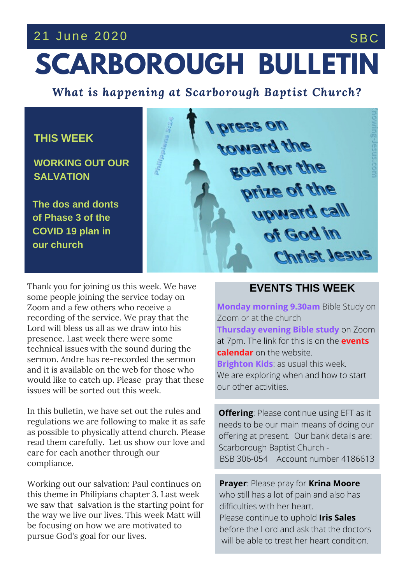## 21 June 2020 SBC

# **SCARBOROUGH BULLETIN**

*What is happening at Scarborough Baptist Church?*

### **THIS WEEK**

**WORKING OUT OUR SALVATION**

**The dos and donts of Phase 3 of the COVID 19 plan in our church**



**THE** SERVICE AND THE SERVICE SERVICE SERVICE SERVICE SERVICE SERVICE SERVICE SERVICE SERVICE SERVICE SERVICE SERVICE SERVICE SERVICE SERVICE SERVICE SERVICE SERVICE SERVICE SERVICE SERVICE SERVICE SERVICE SERVICE SERVICE would like to catch up. Please pray that these Thank you for joining us this week. We have some people joining the service today on Zoom and a few others who receive a recording of the service. We pray that the Lord will bless us all as we draw into his presence. Last week there were some technical issues with the sound during the and it is available on the web for those who issues will be sorted out this week.

In this bulletin, we have set out the rules and regulations we are following to make it as safe as possible to physically attend church. Please read them carefully. Let us show our love and care for each another through our compliance.

Working out our salvation: Paul continues on this theme in Philipians chapter 3. Last week we saw that salvation is the starting point for the way we live our lives. This week Matt will be focusing on how we are motivated to pursue God's goal for our lives.

#### **EVENTS THIS WEEK**

**Monday morning 9.30am** Bible Study on Zoom or at the church **Thursday evening Bible study** on Zoom at 7pm. The link for this is on the **events calendar** on the website. **Brighton Kids**: as usual this week. We are exploring when and how to start our other activities.

**Offering**: Please continue using EFT as it needs to be our main means of doing our offering at present. Our bank details are: Scarborough Baptist Church - BSB 306-054 Account number 4186613

**Prayer**: Please pray for **Krina Moore** who still has a lot of pain and also has difficulties with her heart. Please continue to uphold **Iris Sales** before the Lord and ask that the doctors will be able to treat her heart condition.